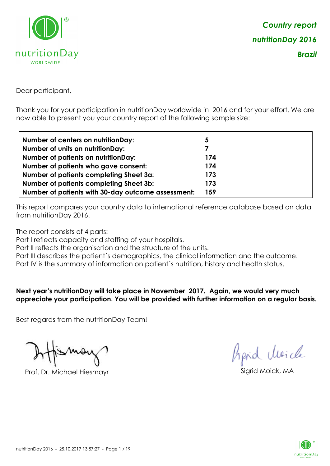

Dear participant,

Thank you for your participation in nutritionDay worldwide in 2016 and for your effort. We are now able to present you your country report of the following sample size:

| Number of centers on nutritionDay:                 | 5   |
|----------------------------------------------------|-----|
| <b>Number of units on nutritionDay:</b>            | 7   |
| <b>Number of patients on nutritionDay:</b>         | 174 |
| Number of patients who gave consent:               | 174 |
| Number of patients completing Sheet 3a:            | 173 |
| <b>Number of patients completing Sheet 3b:</b>     | 173 |
| Number of patients with 30-day outcome assessment: | 159 |

This report compares your country data to international reference database based on data from nutritionDay 2016.

The report consists of 4 parts:

Part I reflects capacity and staffing of your hospitals.

Part II reflects the organisation and the structure of the units.

Part III describes the patient's demographics, the clinical information and the outcome.

Part IV is the summary of information on patient´s nutrition, history and health status.

**Next year's nutritionDay will take place in November 2017. Again, we would very much appreciate your participation. You will be provided with further information on a regular basis.**

Best regards from the nutritionDay-Team!

Prof. Dr. Michael Hiesmayr Sigrid Moick, MA

*Prpid cleacle* 

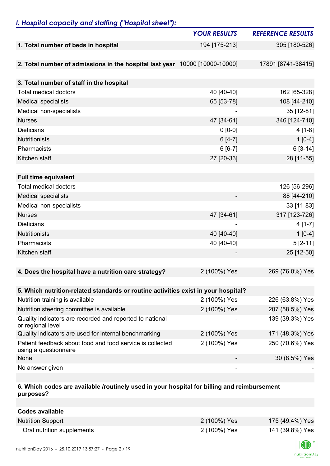## *I. Hospital capacity and staffing ("Hospital sheet"):*

|                                                                                    | <b>YOUR RESULTS</b>          | <b>REFERENCE RESULTS</b> |
|------------------------------------------------------------------------------------|------------------------------|--------------------------|
| 1. Total number of beds in hospital                                                | 194 [175-213]                | 305 [180-526]            |
|                                                                                    |                              |                          |
| 2. Total number of admissions in the hospital last year 10000 [10000-10000]        |                              | 17891 [8741-38415]       |
|                                                                                    |                              |                          |
| 3. Total number of staff in the hospital                                           |                              |                          |
| <b>Total medical doctors</b>                                                       | 40 [40-40]                   | 162 [65-328]             |
| <b>Medical specialists</b>                                                         | 65 [53-78]                   | 108 [44-210]             |
| Medical non-specialists                                                            |                              | 35 [12-81]               |
| <b>Nurses</b>                                                                      | 47 [34-61]                   | 346 [124-710]            |
| <b>Dieticians</b>                                                                  | $0 [0-0]$                    | $4[1-8]$                 |
| <b>Nutritionists</b>                                                               | $6[4-7]$                     | $1[0-4]$                 |
| Pharmacists                                                                        | $6[6-7]$                     | $6[3-14]$                |
| Kitchen staff                                                                      | 27 [20-33]                   | 28 [11-55]               |
|                                                                                    |                              |                          |
| <b>Full time equivalent</b>                                                        |                              |                          |
| <b>Total medical doctors</b>                                                       | $\qquad \qquad \blacksquare$ | 126 [56-296]             |
| <b>Medical specialists</b>                                                         |                              | 88 [44-210]              |
| Medical non-specialists                                                            |                              | 33 [11-83]               |
| <b>Nurses</b>                                                                      | 47 [34-61]                   | 317 [123-726]            |
| <b>Dieticians</b>                                                                  |                              | $4[1-7]$                 |
| <b>Nutritionists</b>                                                               | 40 [40-40]                   | $1[0-4]$                 |
| Pharmacists                                                                        | 40 [40-40]                   | $5[2-11]$                |
| Kitchen staff                                                                      |                              | 25 [12-50]               |
|                                                                                    |                              |                          |
| 4. Does the hospital have a nutrition care strategy?                               | 2 (100%) Yes                 | 269 (76.0%) Yes          |
|                                                                                    |                              |                          |
| 5. Which nutrition-related standards or routine activities exist in your hospital? |                              |                          |
| Nutrition training is available                                                    | 2 (100%) Yes                 | 226 (63.8%) Yes          |
| Nutrition steering committee is available                                          | 2 (100%) Yes                 | 207 (58.5%) Yes          |
| Quality indicators are recorded and reported to national<br>or regional level      |                              | 139 (39.3%) Yes          |
| Quality indicators are used for internal benchmarking                              | 2 (100%) Yes                 | 171 (48.3%) Yes          |
| Patient feedback about food and food service is collected<br>using a questionnaire | 2 (100%) Yes                 | 250 (70.6%) Yes          |
| None                                                                               |                              | 30 (8.5%) Yes            |
| No answer given                                                                    |                              |                          |

#### **6. Which codes are available /routinely used in your hospital for billing and reimbursement purposes?**

| Codes available            |              |                 |
|----------------------------|--------------|-----------------|
| <b>Nutrition Support</b>   | 2 (100%) Yes | 175 (49.4%) Yes |
| Oral nutrition supplements | 2 (100%) Yes | 141 (39.8%) Yes |

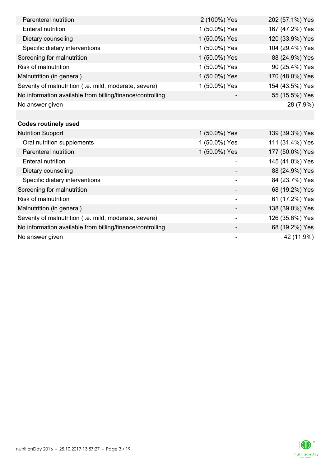| Parenteral nutrition                                      | 2 (100%) Yes             | 202 (57.1%) Yes |
|-----------------------------------------------------------|--------------------------|-----------------|
| <b>Enteral nutrition</b>                                  | 1 (50.0%) Yes            | 167 (47.2%) Yes |
| Dietary counseling                                        | 1 (50.0%) Yes            | 120 (33.9%) Yes |
| Specific dietary interventions                            | 1 (50.0%) Yes            | 104 (29.4%) Yes |
| Screening for malnutrition                                | 1 (50.0%) Yes            | 88 (24.9%) Yes  |
| <b>Risk of malnutrition</b>                               | 1 (50.0%) Yes            | 90 (25.4%) Yes  |
| Malnutrition (in general)                                 | 1 (50.0%) Yes            | 170 (48.0%) Yes |
| Severity of malnutrition (i.e. mild, moderate, severe)    | 1 (50.0%) Yes            | 154 (43.5%) Yes |
| No information available from billing/finance/controlling |                          | 55 (15.5%) Yes  |
| No answer given                                           |                          | 28 (7.9%)       |
|                                                           |                          |                 |
| <b>Codes routinely used</b>                               |                          |                 |
| <b>Nutrition Support</b>                                  | 1 (50.0%) Yes            | 139 (39.3%) Yes |
| Oral nutrition supplements                                | 1 (50.0%) Yes            | 111 (31.4%) Yes |
| Parenteral nutrition                                      | 1 (50.0%) Yes            | 177 (50.0%) Yes |
| <b>Enteral nutrition</b>                                  | -                        | 145 (41.0%) Yes |
| Dietary counseling                                        |                          | 88 (24.9%) Yes  |
| Specific dietary interventions                            |                          | 84 (23.7%) Yes  |
| Screening for malnutrition                                |                          | 68 (19.2%) Yes  |
| <b>Risk of malnutrition</b>                               |                          | 61 (17.2%) Yes  |
| Malnutrition (in general)                                 |                          | 138 (39.0%) Yes |
| Severity of malnutrition (i.e. mild, moderate, severe)    | $\overline{\phantom{a}}$ | 126 (35.6%) Yes |
| No information available from billing/finance/controlling |                          | 68 (19.2%) Yes  |
| No answer given                                           |                          | 42 (11.9%)      |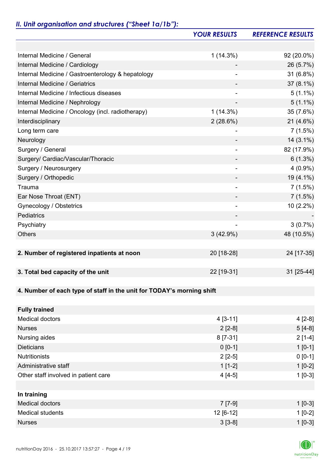# *II. Unit organisation and structures ("Sheet 1a/1b"):*

|                                                                       | <b>YOUR RESULTS</b>          | <b>REFERENCE RESULTS</b> |
|-----------------------------------------------------------------------|------------------------------|--------------------------|
|                                                                       |                              |                          |
| Internal Medicine / General                                           | $1(14.3\%)$                  | 92 (20.0%)               |
| Internal Medicine / Cardiology                                        |                              | 26 (5.7%)                |
| Internal Medicine / Gastroenterology & hepatology                     |                              | 31 (6.8%)                |
| Internal Medicine / Geriatrics                                        |                              | $37(8.1\%)$              |
| Internal Medicine / Infectious diseases                               | $\overline{a}$               | $5(1.1\%)$               |
| Internal Medicine / Nephrology                                        |                              | $5(1.1\%)$               |
| Internal Medicine / Oncology (incl. radiotherapy)                     | 1(14.3%)                     | 35 (7.6%)                |
| Interdisciplinary                                                     | $2(28.6\%)$                  | 21 (4.6%)                |
| Long term care                                                        |                              | 7(1.5%)                  |
| Neurology                                                             |                              | $14(3.1\%)$              |
| Surgery / General                                                     | $\qquad \qquad \blacksquare$ | 82 (17.9%)               |
| Surgery/ Cardiac/Vascular/Thoracic                                    |                              | $6(1.3\%)$               |
| Surgery / Neurosurgery                                                |                              | $4(0.9\%)$               |
| Surgery / Orthopedic                                                  |                              | 19 (4.1%)                |
| Trauma                                                                |                              | 7(1.5%)                  |
| Ear Nose Throat (ENT)                                                 |                              | 7(1.5%)                  |
| Gynecology / Obstetrics                                               | $\overline{\phantom{0}}$     | 10 (2.2%)                |
| Pediatrics                                                            |                              |                          |
| Psychiatry                                                            |                              | 3(0.7%)                  |
| <b>Others</b>                                                         | $3(42.9\%)$                  | 48 (10.5%)               |
|                                                                       |                              |                          |
| 2. Number of registered inpatients at noon                            | 20 [18-28]                   | 24 [17-35]               |
|                                                                       |                              |                          |
| 3. Total bed capacity of the unit                                     | 22 [19-31]                   | 31 [25-44]               |
|                                                                       |                              |                          |
| 4. Number of each type of staff in the unit for TODAY's morning shift |                              |                          |
|                                                                       |                              |                          |
| <b>Fully trained</b>                                                  |                              |                          |
| <b>Medical doctors</b>                                                | $4 [3-11]$                   | $4[2-8]$                 |
| <b>Nurses</b>                                                         | $2[2-8]$                     | $5[4-8]$                 |
| Nursing aides                                                         | 8 [7-31]                     | $2[1-4]$                 |
| <b>Dieticians</b>                                                     | $0 [0-1]$                    | $1 [0-1]$                |
| <b>Nutritionists</b>                                                  | $2[2-5]$                     | $0 [0-1]$                |
| Administrative staff                                                  | $1[1-2]$                     | $1[0-2]$                 |
| Other staff involved in patient care                                  | $4[4-5]$                     | $1[0-3]$                 |
|                                                                       |                              |                          |
| In training                                                           |                              |                          |
| <b>Medical doctors</b>                                                | $7 [7-9]$                    | $1$ [0-3]                |
| <b>Medical students</b>                                               | 12 [6-12]                    | $1[0-2]$                 |
| <b>Nurses</b>                                                         | $3[3-8]$                     | $1[0-3]$                 |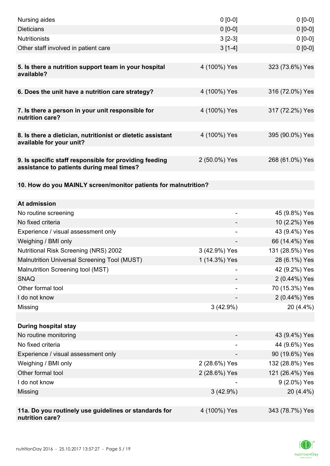| Nursing aides                                                                                       | $0 [0-0]$     | $0 [0-0]$       |
|-----------------------------------------------------------------------------------------------------|---------------|-----------------|
| <b>Dieticians</b>                                                                                   | $0 [0-0]$     | $0 [0-0]$       |
| <b>Nutritionists</b>                                                                                | $3[2-3]$      | $0 [0-0]$       |
| Other staff involved in patient care                                                                | $3[1-4]$      | $0 [0-0]$       |
|                                                                                                     |               |                 |
| 5. Is there a nutrition support team in your hospital<br>available?                                 | 4 (100%) Yes  | 323 (73.6%) Yes |
| 6. Does the unit have a nutrition care strategy?                                                    | 4 (100%) Yes  | 316 (72.0%) Yes |
| 7. Is there a person in your unit responsible for<br>nutrition care?                                | 4 (100%) Yes  | 317 (72.2%) Yes |
| 8. Is there a dietician, nutritionist or dietetic assistant<br>available for your unit?             | 4 (100%) Yes  | 395 (90.0%) Yes |
| 9. Is specific staff responsible for providing feeding<br>assistance to patients during meal times? | 2 (50.0%) Yes | 268 (61.0%) Yes |
| 10. How do you MAINLY screen/monitor patients for malnutrition?                                     |               |                 |
|                                                                                                     |               |                 |
| At admission                                                                                        |               |                 |
| No routine screening                                                                                | ۰             | 45 (9.8%) Yes   |
| No fixed criteria                                                                                   |               | 10 (2.2%) Yes   |
| Experience / visual assessment only                                                                 |               | 43 (9.4%) Yes   |
| Weighing / BMI only                                                                                 |               | 66 (14.4%) Yes  |
| <b>Nutritional Risk Screening (NRS) 2002</b>                                                        | 3 (42.9%) Yes | 131 (28.5%) Yes |
| Malnutrition Universal Screening Tool (MUST)                                                        | 1 (14.3%) Yes | 28 (6.1%) Yes   |
| Malnutrition Screening tool (MST)                                                                   |               | 42 (9.2%) Yes   |
| <b>SNAQ</b>                                                                                         |               | 2 (0.44%) Yes   |
| Other formal tool                                                                                   |               | 70 (15.3%) Yes  |
| I do not know                                                                                       |               | 2 (0.44%) Yes   |
| Missing                                                                                             | 3(42.9%)      | 20 (4.4%)       |
|                                                                                                     |               |                 |
| <b>During hospital stay</b>                                                                         |               |                 |
| No routine monitoring                                                                               |               | 43 (9.4%) Yes   |
| No fixed criteria                                                                                   |               | 44 (9.6%) Yes   |
| Experience / visual assessment only                                                                 |               | 90 (19.6%) Yes  |
| Weighing / BMI only                                                                                 | 2 (28.6%) Yes | 132 (28.8%) Yes |
| Other formal tool                                                                                   | 2 (28.6%) Yes | 121 (26.4%) Yes |
| I do not know                                                                                       |               | 9 (2.0%) Yes    |
| Missing                                                                                             | $3(42.9\%)$   | 20 (4.4%)       |
|                                                                                                     |               |                 |
| 11a. Do you routinely use guidelines or standards for<br>nutrition care?                            | 4 (100%) Yes  | 343 (78.7%) Yes |

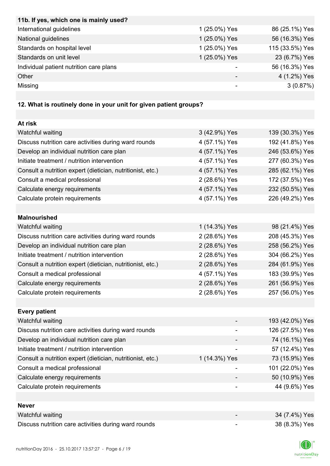| 11b. If yes, which one is mainly used?  |               |                 |
|-----------------------------------------|---------------|-----------------|
| International guidelines                | 1 (25.0%) Yes | 86 (25.1%) Yes  |
| National guidelines                     | 1 (25.0%) Yes | 56 (16.3%) Yes  |
| Standards on hospital level             | 1 (25.0%) Yes | 115 (33.5%) Yes |
| Standards on unit level                 | 1 (25.0%) Yes | 23 (6.7%) Yes   |
| Individual patient nutrition care plans |               | 56 (16.3%) Yes  |
| Other                                   |               | 4 (1.2%) Yes    |
| Missing                                 |               | 3(0.87%)        |

## **12. What is routinely done in your unit for given patient groups?**

| At risk                                                    |               |                 |
|------------------------------------------------------------|---------------|-----------------|
| Watchful waiting                                           | 3 (42.9%) Yes | 139 (30.3%) Yes |
| Discuss nutrition care activities during ward rounds       | 4 (57.1%) Yes | 192 (41.8%) Yes |
| Develop an individual nutrition care plan                  | 4 (57.1%) Yes | 246 (53.6%) Yes |
| Initiate treatment / nutrition intervention                | 4 (57.1%) Yes | 277 (60.3%) Yes |
| Consult a nutrition expert (dietician, nutritionist, etc.) | 4 (57.1%) Yes | 285 (62.1%) Yes |
| Consult a medical professional                             | 2 (28.6%) Yes | 172 (37.5%) Yes |
| Calculate energy requirements                              | 4 (57.1%) Yes | 232 (50.5%) Yes |
| Calculate protein requirements                             | 4 (57.1%) Yes | 226 (49.2%) Yes |
|                                                            |               |                 |
| <b>Malnourished</b>                                        |               |                 |
| Watchful waiting                                           | 1 (14.3%) Yes | 98 (21.4%) Yes  |
| Discuss nutrition care activities during ward rounds       | 2 (28.6%) Yes | 208 (45.3%) Yes |
| Develop an individual nutrition care plan                  | 2 (28.6%) Yes | 258 (56.2%) Yes |
| Initiate treatment / nutrition intervention                | 2 (28.6%) Yes | 304 (66.2%) Yes |
| Consult a nutrition expert (dietician, nutritionist, etc.) | 2 (28.6%) Yes | 284 (61.9%) Yes |
| Consult a medical professional                             | 4 (57.1%) Yes | 183 (39.9%) Yes |
| Calculate energy requirements                              | 2 (28.6%) Yes | 261 (56.9%) Yes |
| Calculate protein requirements                             | 2 (28.6%) Yes | 257 (56.0%) Yes |
|                                                            |               |                 |
| <b>Every patient</b>                                       |               |                 |
| Watchful waiting                                           |               | 193 (42.0%) Yes |
| Discuss nutrition care activities during ward rounds       |               | 126 (27.5%) Yes |
| Develop an individual nutrition care plan                  |               | 74 (16.1%) Yes  |
| Initiate treatment / nutrition intervention                |               | 57 (12.4%) Yes  |
| Consult a nutrition expert (dietician, nutritionist, etc.) | 1 (14.3%) Yes | 73 (15.9%) Yes  |
| Consult a medical professional                             |               | 101 (22.0%) Yes |
| Calculate energy requirements                              |               | 50 (10.9%) Yes  |
| Calculate protein requirements                             |               | 44 (9.6%) Yes   |
|                                                            |               |                 |
| <b>Never</b>                                               |               |                 |
| Watchful waiting                                           |               | 34 (7.4%) Yes   |
| Discuss nutrition care activities during ward rounds       | -             | 38 (8.3%) Yes   |

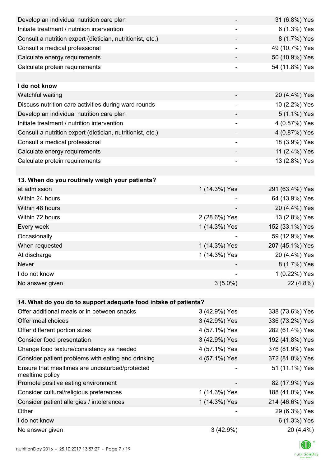| Develop an individual nutrition care plan                          |                          | 31 (6.8%) Yes   |
|--------------------------------------------------------------------|--------------------------|-----------------|
| Initiate treatment / nutrition intervention                        |                          | 6 (1.3%) Yes    |
| Consult a nutrition expert (dietician, nutritionist, etc.)         |                          | 8 (1.7%) Yes    |
| Consult a medical professional                                     | ۰                        | 49 (10.7%) Yes  |
| Calculate energy requirements                                      | -                        | 50 (10.9%) Yes  |
| Calculate protein requirements                                     |                          | 54 (11.8%) Yes  |
|                                                                    |                          |                 |
| I do not know                                                      |                          |                 |
| Watchful waiting                                                   |                          | 20 (4.4%) Yes   |
| Discuss nutrition care activities during ward rounds               | $\overline{\phantom{a}}$ | 10 (2.2%) Yes   |
| Develop an individual nutrition care plan                          |                          | 5 (1.1%) Yes    |
| Initiate treatment / nutrition intervention                        |                          | 4 (0.87%) Yes   |
| Consult a nutrition expert (dietician, nutritionist, etc.)         |                          | 4 (0.87%) Yes   |
| Consult a medical professional                                     |                          | 18 (3.9%) Yes   |
| Calculate energy requirements                                      |                          | 11 (2.4%) Yes   |
| Calculate protein requirements                                     | $\overline{\phantom{a}}$ | 13 (2.8%) Yes   |
|                                                                    |                          |                 |
| 13. When do you routinely weigh your patients?                     |                          |                 |
| at admission                                                       | 1 (14.3%) Yes            | 291 (63.4%) Yes |
| Within 24 hours                                                    |                          | 64 (13.9%) Yes  |
| Within 48 hours                                                    |                          | 20 (4.4%) Yes   |
| Within 72 hours                                                    | 2 (28.6%) Yes            | 13 (2.8%) Yes   |
| Every week                                                         | 1 (14.3%) Yes            | 152 (33.1%) Yes |
| Occasionally                                                       |                          | 59 (12.9%) Yes  |
| When requested                                                     | 1 (14.3%) Yes            | 207 (45.1%) Yes |
| At discharge                                                       | 1 (14.3%) Yes            | 20 (4.4%) Yes   |
| Never                                                              |                          | 8 (1.7%) Yes    |
| I do not know                                                      |                          | 1 (0.22%) Yes   |
| No answer given                                                    | $3(5.0\%)$               | 22 (4.8%)       |
|                                                                    |                          |                 |
| 14. What do you do to support adequate food intake of patients?    |                          |                 |
| Offer additional meals or in between snacks                        | 3 (42.9%) Yes            | 338 (73.6%) Yes |
| Offer meal choices                                                 | 3 (42.9%) Yes            | 336 (73.2%) Yes |
| Offer different portion sizes                                      | 4 (57.1%) Yes            | 282 (61.4%) Yes |
| Consider food presentation                                         | 3 (42.9%) Yes            | 192 (41.8%) Yes |
| Change food texture/consistency as needed                          | 4 (57.1%) Yes            | 376 (81.9%) Yes |
| Consider patient problems with eating and drinking                 | 4 (57.1%) Yes            | 372 (81.0%) Yes |
| Ensure that mealtimes are undisturbed/protected<br>mealtime policy |                          | 51 (11.1%) Yes  |
| Promote positive eating environment                                |                          | 82 (17.9%) Yes  |
| Consider cultural/religious preferences                            | 1 (14.3%) Yes            | 188 (41.0%) Yes |
| Consider patient allergies / intolerances                          | 1 (14.3%) Yes            | 214 (46.6%) Yes |
| Other                                                              |                          | 29 (6.3%) Yes   |
| I do not know                                                      |                          | 6 (1.3%) Yes    |
| No answer given                                                    | 3(42.9%)                 | 20 (4.4%)       |
|                                                                    |                          |                 |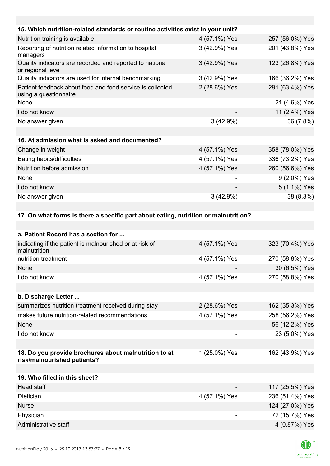| 15. Which nutrition-related standards or routine activities exist in your unit?     |                           |                         |
|-------------------------------------------------------------------------------------|---------------------------|-------------------------|
| Nutrition training is available                                                     | 4 (57.1%) Yes             | 257 (56.0%) Yes         |
| Reporting of nutrition related information to hospital<br>managers                  | 3 (42.9%) Yes             | 201 (43.8%) Yes         |
| Quality indicators are recorded and reported to national<br>or regional level       | 3 (42.9%) Yes             | 123 (26.8%) Yes         |
| Quality indicators are used for internal benchmarking                               | 3 (42.9%) Yes             | 166 (36.2%) Yes         |
| Patient feedback about food and food service is collected<br>using a questionnaire  | 2 (28.6%) Yes             | 291 (63.4%) Yes         |
| None                                                                                |                           | 21 (4.6%) Yes           |
| I do not know                                                                       |                           | 11 (2.4%) Yes           |
| No answer given                                                                     | 3(42.9%)                  | 36 (7.8%)               |
|                                                                                     |                           |                         |
| 16. At admission what is asked and documented?                                      |                           |                         |
| Change in weight                                                                    | 4 (57.1%) Yes             | 358 (78.0%) Yes         |
| Eating habits/difficulties                                                          | 4 (57.1%) Yes             | 336 (73.2%) Yes         |
| Nutrition before admission                                                          | 4 (57.1%) Yes             | 260 (56.6%) Yes         |
| None                                                                                |                           | 9 (2.0%) Yes            |
| I do not know                                                                       |                           | 5 (1.1%) Yes            |
| No answer given                                                                     | 3(42.9%)                  | 38 (8.3%)               |
|                                                                                     |                           |                         |
| 17. On what forms is there a specific part about eating, nutrition or malnutrition? |                           |                         |
| a. Patient Record has a section for                                                 |                           |                         |
| indicating if the patient is malnourished or at riak of                             | $1157101$ V <sub>00</sub> | 222 (70.40) $\sqrt{20}$ |

| indicating if the patient is malnourished or at risk of<br>malnutrition              | 4 (57.1%) Yes | 323 (70.4%) Yes |
|--------------------------------------------------------------------------------------|---------------|-----------------|
| nutrition treatment                                                                  | 4 (57.1%) Yes | 270 (58.8%) Yes |
| None                                                                                 |               | 30 (6.5%) Yes   |
| I do not know                                                                        | 4 (57.1%) Yes | 270 (58.8%) Yes |
|                                                                                      |               |                 |
| b. Discharge Letter                                                                  |               |                 |
| summarizes nutrition treatment received during stay                                  | 2 (28.6%) Yes | 162 (35.3%) Yes |
| makes future nutrition-related recommendations                                       | 4 (57.1%) Yes | 258 (56.2%) Yes |
| None                                                                                 |               | 56 (12.2%) Yes  |
| I do not know                                                                        |               | 23 (5.0%) Yes   |
|                                                                                      |               |                 |
| 18. Do you provide brochures about malnutrition to at<br>risk/malnourished patients? | 1 (25.0%) Yes | 162 (43.9%) Yes |
|                                                                                      |               |                 |
| 19. Who filled in this sheet?                                                        |               |                 |
| Head staff                                                                           |               | 117 (25.5%) Yes |
| Dietician                                                                            | 4 (57.1%) Yes | 236 (51.4%) Yes |
| <b>Nurse</b>                                                                         |               | 124 (27.0%) Yes |
| Physician                                                                            | -             | 72 (15.7%) Yes  |
| Administrative staff                                                                 |               | 4 (0.87%) Yes   |

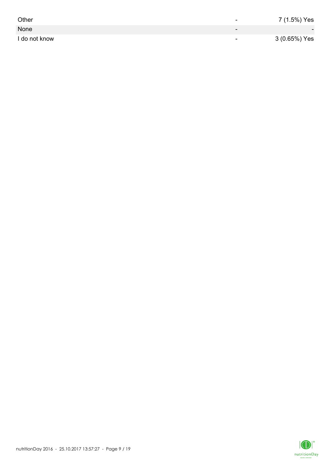| Other         | -                        | 7 (1.5%) Yes             |
|---------------|--------------------------|--------------------------|
| None          | $\overline{\phantom{0}}$ | $\overline{\phantom{0}}$ |
| I do not know | $\overline{\phantom{0}}$ | 3 (0.65%) Yes            |

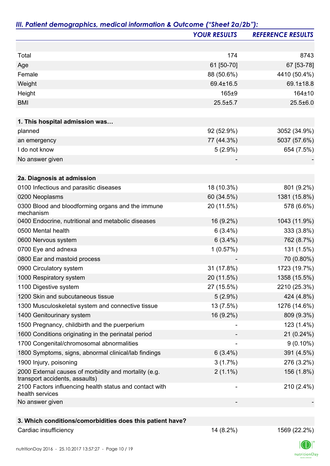|                                                                                         | <b>YOUR RESULTS</b> | <b>REFERENCE RESULTS</b> |
|-----------------------------------------------------------------------------------------|---------------------|--------------------------|
|                                                                                         |                     |                          |
| Total                                                                                   | 174                 | 8743                     |
| Age                                                                                     | 61 [50-70]          | 67 [53-78]               |
| Female                                                                                  | 88 (50.6%)          | 4410 (50.4%)             |
| Weight                                                                                  | 69.4±16.5           | 69.1±18.8                |
| Height                                                                                  | 165±9               | 164±10                   |
| <b>BMI</b>                                                                              | $25.5 \pm 5.7$      | $25.5 \pm 6.0$           |
|                                                                                         |                     |                          |
| 1. This hospital admission was                                                          |                     |                          |
| planned                                                                                 | 92 (52.9%)          | 3052 (34.9%)             |
| an emergency                                                                            | 77 (44.3%)          | 5037 (57.6%)             |
| I do not know                                                                           | $5(2.9\%)$          | 654 (7.5%)               |
| No answer given                                                                         |                     |                          |
| 2a. Diagnosis at admission                                                              |                     |                          |
| 0100 Infectious and parasitic diseases                                                  | 18 (10.3%)          | 801 (9.2%)               |
| 0200 Neoplasms                                                                          | 60 (34.5%)          | 1381 (15.8%)             |
| 0300 Blood and bloodforming organs and the immune<br>mechanism                          | 20 (11.5%)          | 578 (6.6%)               |
| 0400 Endocrine, nutritional and metabolic diseases                                      | 16 (9.2%)           | 1043 (11.9%)             |
| 0500 Mental health                                                                      | $6(3.4\%)$          | 333 (3.8%)               |
| 0600 Nervous system                                                                     | $6(3.4\%)$          | 762 (8.7%)               |
| 0700 Eye and adnexa                                                                     | 1(0.57%)            | 131 (1.5%)               |
| 0800 Ear and mastoid process                                                            |                     | 70 (0.80%)               |
| 0900 Circulatory system                                                                 | 31 (17.8%)          | 1723 (19.7%)             |
| 1000 Respiratory system                                                                 | 20 (11.5%)          | 1358 (15.5%)             |
| 1100 Digestive system                                                                   | 27 (15.5%)          | 2210 (25.3%)             |
| 1200 Skin and subcutaneous tissue                                                       | $5(2.9\%)$          | 424 (4.8%)               |
| 1300 Musculoskeletal system and connective tissue                                       | 13 (7.5%)           | 1276 (14.6%)             |
| 1400 Genitourinary system                                                               | 16 (9.2%)           | 809 (9.3%)               |
| 1500 Pregnancy, childbirth and the puerperium                                           |                     | 123 (1.4%)               |
| 1600 Conditions originating in the perinatal period                                     |                     | 21 (0.24%)               |
| 1700 Congenital/chromosomal abnormalities                                               |                     | $9(0.10\%)$              |
| 1800 Symptoms, signs, abnormal clinical/lab findings                                    | $6(3.4\%)$          | 391 (4.5%)               |
| 1900 Injury, poisoning                                                                  | 3(1.7%)             | 276 (3.2%)               |
| 2000 External causes of morbidity and mortality (e.g.<br>transport accidents, assaults) | $2(1.1\%)$          | 156 (1.8%)               |
| 2100 Factors influencing health status and contact with<br>health services              |                     | 210 (2.4%)               |
| No answer given                                                                         |                     |                          |
|                                                                                         |                     |                          |
| 3. Which conditions/comorbidities does this patient have?                               |                     |                          |

## Cardiac insufficiency 22.2%)

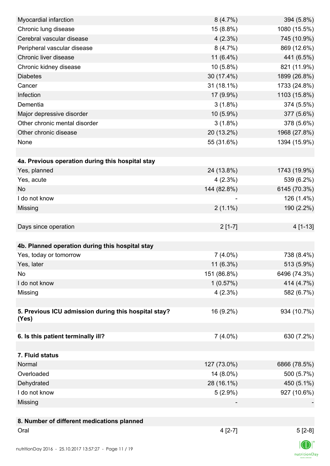| Myocardial infarction                                | 8(4.7%)     | 394 (5.8%)     |
|------------------------------------------------------|-------------|----------------|
| Chronic lung disease                                 | 15 (8.8%)   | 1080 (15.5%)   |
| Cerebral vascular disease                            | $4(2.3\%)$  | 745 (10.9%)    |
| Peripheral vascular disease                          | 8(4.7%)     | 869 (12.6%)    |
| Chronic liver disease                                | 11 (6.4%)   | 441 (6.5%)     |
| Chronic kidney disease                               | 10 (5.8%)   | 821 (11.9%)    |
| <b>Diabetes</b>                                      | 30 (17.4%)  | 1899 (26.8%)   |
| Cancer                                               | 31 (18.1%)  | 1733 (24.8%)   |
| Infection                                            | 17 (9.9%)   | 1103 (15.8%)   |
| Dementia                                             | $3(1.8\%)$  | 374 (5.5%)     |
| Major depressive disorder                            | 10 (5.9%)   | 377 (5.6%)     |
| Other chronic mental disorder                        | $3(1.8\%)$  | 378 (5.6%)     |
| Other chronic disease                                | 20 (13.2%)  | 1968 (27.8%)   |
| None                                                 | 55 (31.6%)  | 1394 (15.9%)   |
|                                                      |             |                |
| 4a. Previous operation during this hospital stay     |             |                |
| Yes, planned                                         | 24 (13.8%)  | 1743 (19.9%)   |
| Yes, acute                                           | $4(2.3\%)$  | 539 (6.2%)     |
| <b>No</b>                                            | 144 (82.8%) | 6145 (70.3%)   |
| I do not know                                        |             | 126 (1.4%)     |
| Missing                                              | $2(1.1\%)$  | 190 (2.2%)     |
|                                                      |             |                |
| Days since operation                                 | $2[1-7]$    | 4 [1-13]       |
|                                                      |             |                |
| 4b. Planned operation during this hospital stay      |             |                |
| Yes, today or tomorrow                               | $7(4.0\%)$  | 738 (8.4%)     |
| Yes, later                                           | $11(6.3\%)$ | 513 (5.9%)     |
| No                                                   | 151 (86.8%) | 6496 (74.3%)   |
| I do not know                                        | 1(0.57%)    | 414 (4.7%)     |
| Missing                                              | 4(2.3%)     | 582 (6.7%)     |
|                                                      |             |                |
| 5. Previous ICU admission during this hospital stay? | 16 (9.2%)   | 934 (10.7%)    |
| (Yes)                                                |             |                |
|                                                      |             |                |
| 6. Is this patient terminally ill?                   | $7(4.0\%)$  | 630 (7.2%)     |
|                                                      |             |                |
| 7. Fluid status                                      |             |                |
| Normal                                               | 127 (73.0%) | 6866 (78.5%)   |
| Overloaded                                           | 14 (8.0%)   | 500 (5.7%)     |
| Dehydrated                                           | 28 (16.1%)  | 450 (5.1%)     |
| I do not know                                        | $5(2.9\%)$  | 927 (10.6%)    |
| Missing                                              |             |                |
|                                                      |             |                |
| 8. Number of different medications planned           |             |                |
| Oral                                                 | $4[2-7]$    | $5[2-8]$       |
|                                                      |             | $\blacksquare$ |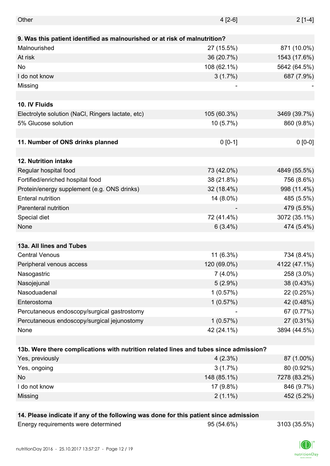| Other                                                                                 | $4[2-6]$    | $2[1-4]$     |
|---------------------------------------------------------------------------------------|-------------|--------------|
|                                                                                       |             |              |
| 9. Was this patient identified as malnourished or at risk of malnutrition?            |             |              |
| Malnourished                                                                          | 27 (15.5%)  | 871 (10.0%)  |
| At risk                                                                               | 36 (20.7%)  | 1543 (17.6%) |
| No                                                                                    | 108 (62.1%) | 5642 (64.5%) |
| I do not know                                                                         | $3(1.7\%)$  | 687 (7.9%)   |
| Missing                                                                               |             |              |
|                                                                                       |             |              |
| 10. IV Fluids                                                                         |             |              |
| Electrolyte solution (NaCl, Ringers lactate, etc)                                     | 105 (60.3%) | 3469 (39.7%) |
| 5% Glucose solution                                                                   | 10 (5.7%)   | 860 (9.8%)   |
|                                                                                       |             |              |
| 11. Number of ONS drinks planned                                                      | $0 [0-1]$   | $0 [0-0]$    |
|                                                                                       |             |              |
| 12. Nutrition intake                                                                  |             |              |
| Regular hospital food                                                                 | 73 (42.0%)  | 4849 (55.5%) |
| Fortified/enriched hospital food                                                      | 38 (21.8%)  | 756 (8.6%)   |
| Protein/energy supplement (e.g. ONS drinks)                                           | 32 (18.4%)  | 998 (11.4%)  |
| <b>Enteral nutrition</b>                                                              | 14 (8.0%)   | 485 (5.5%)   |
| Parenteral nutrition                                                                  |             | 479 (5.5%)   |
| Special diet                                                                          | 72 (41.4%)  | 3072 (35.1%) |
| None                                                                                  | $6(3.4\%)$  | 474 (5.4%)   |
|                                                                                       |             |              |
| 13a. All lines and Tubes                                                              |             |              |
| <b>Central Venous</b>                                                                 | 11 (6.3%)   | 734 (8.4%)   |
| Peripheral venous access                                                              | 120 (69.0%) | 4122 (47.1%) |
| Nasogastric                                                                           | $7(4.0\%)$  | 258 (3.0%)   |
| Nasojejunal                                                                           | $5(2.9\%)$  | 38 (0.43%)   |
| Nasoduadenal                                                                          | 1(0.57%)    | 22 (0.25%)   |
| Enterostoma                                                                           | 1(0.57%)    | 42 (0.48%)   |
| Percutaneous endoscopy/surgical gastrostomy                                           |             | 67 (0.77%)   |
| Percutaneous endoscopy/surgical jejunostomy                                           | 1(0.57%)    | 27 (0.31%)   |
| None                                                                                  | 42 (24.1%)  | 3894 (44.5%) |
|                                                                                       |             |              |
| 13b. Were there complications with nutrition related lines and tubes since admission? |             |              |
| Yes, previously                                                                       | $4(2.3\%)$  | 87 (1.00%)   |
| Yes, ongoing                                                                          | 3(1.7%)     | 80 (0.92%)   |
| No                                                                                    | 148 (85.1%) | 7278 (83.2%) |
| I do not know                                                                         | 17 (9.8%)   | 846 (9.7%)   |
| Missing                                                                               | $2(1.1\%)$  | 452 (5.2%)   |
|                                                                                       |             |              |
| 14. Please indicate if any of the following was done for this patient since admission |             |              |
| Energy requirements were determined                                                   | 95 (54.6%)  | 3103 (35.5%) |

nutritionDay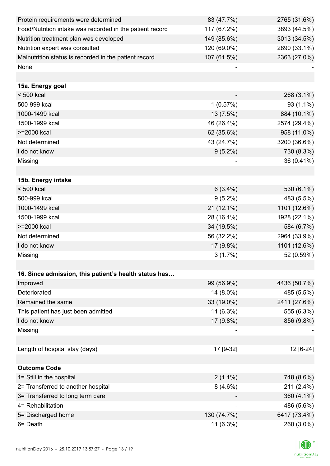| Protein requirements were determined                     | 83 (47.7%)  | 2765 (31.6%) |
|----------------------------------------------------------|-------------|--------------|
| Food/Nutrition intake was recorded in the patient record | 117 (67.2%) | 3893 (44.5%) |
| Nutrition treatment plan was developed                   | 149 (85.6%) | 3013 (34.5%) |
| Nutrition expert was consulted                           | 120 (69.0%) | 2890 (33.1%) |
| Malnutrition status is recorded in the patient record    | 107 (61.5%) | 2363 (27.0%) |
| None                                                     |             |              |
|                                                          |             |              |
| 15a. Energy goal                                         |             |              |
| $< 500$ kcal                                             |             | 268 (3.1%)   |
| 500-999 kcal                                             | 1(0.57%)    | 93 (1.1%)    |
| 1000-1499 kcal                                           | 13 (7.5%)   | 884 (10.1%)  |
| 1500-1999 kcal                                           | 46 (26.4%)  | 2574 (29.4%) |
| >=2000 kcal                                              | 62 (35.6%)  | 958 (11.0%)  |
| Not determined                                           | 43 (24.7%)  | 3200 (36.6%) |
| I do not know                                            | $9(5.2\%)$  | 730 (8.3%)   |
| Missing                                                  |             | 36 (0.41%)   |
|                                                          |             |              |
| 15b. Energy intake                                       |             |              |
| $< 500$ kcal                                             | $6(3.4\%)$  | 530 (6.1%)   |
| 500-999 kcal                                             | $9(5.2\%)$  | 483 (5.5%)   |
| 1000-1499 kcal                                           | 21 (12.1%)  | 1101 (12.6%) |
| 1500-1999 kcal                                           | 28 (16.1%)  | 1928 (22.1%) |
| >=2000 kcal                                              | 34 (19.5%)  | 584 (6.7%)   |
| Not determined                                           | 56 (32.2%)  | 2964 (33.9%) |
| I do not know                                            | 17 (9.8%)   | 1101 (12.6%) |
| Missing                                                  | 3(1.7%)     | 52 (0.59%)   |
|                                                          |             |              |
| 16. Since admission, this patient's health status has    |             |              |
| Improved                                                 | 99 (56.9%)  | 4436 (50.7%) |
| Deteriorated                                             | 14 (8.0%)   | 485 (5.5%)   |
| Remained the same                                        | 33 (19.0%)  | 2411 (27.6%) |
| This patient has just been admitted                      | 11 (6.3%)   | 555 (6.3%)   |
| I do not know                                            | 17 (9.8%)   | 856 (9.8%)   |
| Missing                                                  |             |              |
|                                                          |             |              |
| Length of hospital stay (days)                           | 17 [9-32]   | 12 [6-24]    |
|                                                          |             |              |
| <b>Outcome Code</b>                                      |             |              |
| 1= Still in the hospital                                 | $2(1.1\%)$  | 748 (8.6%)   |
| 2= Transferred to another hospital                       | $8(4.6\%)$  | 211 (2.4%)   |
| 3= Transferred to long term care                         |             | 360 (4.1%)   |
| 4= Rehabilitation                                        |             | 486 (5.6%)   |
| 5= Discharged home                                       | 130 (74.7%) | 6417 (73.4%) |
| 6= Death                                                 | 11 (6.3%)   | 260 (3.0%)   |

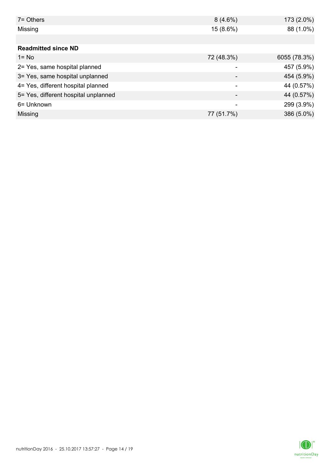| $7 =$ Others                         | $8(4.6\%)$ | $173(2.0\%)$ |
|--------------------------------------|------------|--------------|
| Missing                              | 15 (8.6%)  | 88 (1.0%)    |
|                                      |            |              |
| <b>Readmitted since ND</b>           |            |              |
| $1 = No$                             | 72 (48.3%) | 6055 (78.3%) |
| 2= Yes, same hospital planned        |            | 457 (5.9%)   |
| 3= Yes, same hospital unplanned      |            | 454 (5.9%)   |
| 4= Yes, different hospital planned   |            | 44 (0.57%)   |
| 5= Yes, different hospital unplanned |            | 44 (0.57%)   |
| 6= Unknown                           | -          | 299 (3.9%)   |
| Missing                              | 77 (51.7%) | 386 (5.0%)   |

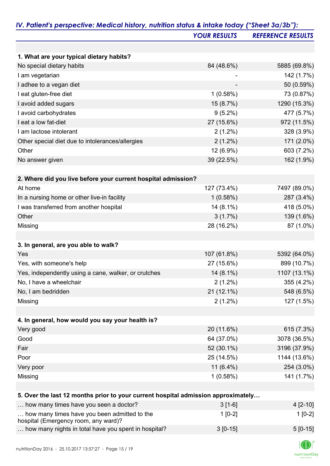|                                                                                   | <b>YOUR RESULTS</b> | <b>REFERENCE RESULTS</b> |
|-----------------------------------------------------------------------------------|---------------------|--------------------------|
|                                                                                   |                     |                          |
| 1. What are your typical dietary habits?                                          |                     |                          |
| No special dietary habits                                                         | 84 (48.6%)          | 5885 (69.8%)             |
| I am vegetarian                                                                   |                     | 142 (1.7%)               |
| I adhee to a vegan diet                                                           |                     | 50 (0.59%)               |
| I eat gluten-free diet                                                            | 1(0.58%)            | 73 (0.87%)               |
| I avoid added sugars                                                              | 15 (8.7%)           | 1290 (15.3%)             |
| I avoid carbohydrates                                                             | $9(5.2\%)$          | 477 (5.7%)               |
| I eat a low fat-diet                                                              | 27 (15.6%)          | 972 (11.5%)              |
| I am lactose intolerant                                                           | $2(1.2\%)$          | 328 (3.9%)               |
| Other special diet due to intolerances/allergies                                  | $2(1.2\%)$          | 171 (2.0%)               |
| Other                                                                             | 12 (6.9%)           | 603 (7.2%)               |
| No answer given                                                                   | 39 (22.5%)          | 162 (1.9%)               |
|                                                                                   |                     |                          |
| 2. Where did you live before your current hospital admission?                     |                     |                          |
| At home                                                                           | 127 (73.4%)         | 7497 (89.0%)             |
| In a nursing home or other live-in facility                                       | 1(0.58%)            | 287 (3.4%)               |
| I was transferred from another hospital                                           | 14 (8.1%)           | 418 (5.0%)               |
| Other                                                                             | 3(1.7%)             | 139 (1.6%)               |
| Missing                                                                           | 28 (16.2%)          | 87 (1.0%)                |
|                                                                                   |                     |                          |
| 3. In general, are you able to walk?                                              |                     |                          |
| Yes                                                                               | 107 (61.8%)         | 5392 (64.0%)             |
| Yes, with someone's help                                                          | 27 (15.6%)          | 899 (10.7%)              |
| Yes, independently using a cane, walker, or crutches                              | 14 (8.1%)           | 1107 (13.1%)             |
| No, I have a wheelchair                                                           | $2(1.2\%)$          | 355 (4.2%)               |
| No, I am bedridden                                                                | 21 (12.1%)          | 548 (6.5%)               |
| Missing                                                                           | $2(1.2\%)$          | 127 (1.5%)               |
|                                                                                   |                     |                          |
| 4. In general, how would you say your health is?                                  |                     |                          |
| Very good                                                                         | 20 (11.6%)          | 615 (7.3%)               |
| Good                                                                              | 64 (37.0%)          | 3078 (36.5%)             |
| Fair                                                                              | 52 (30.1%)          | 3196 (37.9%)             |
| Poor                                                                              | 25 (14.5%)          | 1144 (13.6%)             |
| Very poor                                                                         | 11 $(6.4\%)$        | 254 (3.0%)               |
| Missing                                                                           | 1(0.58%)            | 141 (1.7%)               |
| 5. Over the last 12 months prior to your current hospital admission approximately |                     |                          |
| how many times have you seen a doctor?                                            | $3[1-6]$            | 4 [2-10]                 |
| how many times have you been admitted to the                                      | $1[0-2]$            | $1[0-2]$                 |
|                                                                                   |                     |                          |

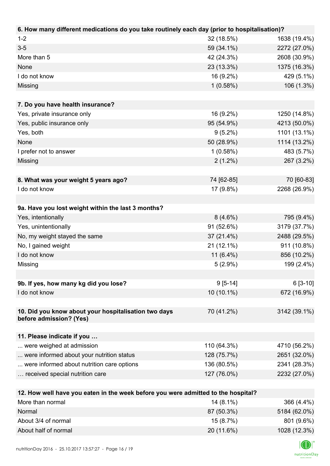| 6. How many different medications do you take routinely each day (prior to hospitalisation)? |              |              |
|----------------------------------------------------------------------------------------------|--------------|--------------|
| $1 - 2$                                                                                      | 32 (18.5%)   | 1638 (19.4%) |
| $3-5$                                                                                        | 59 (34.1%)   | 2272 (27.0%) |
| More than 5                                                                                  | 42 (24.3%)   | 2608 (30.9%) |
| None                                                                                         | 23 (13.3%)   | 1375 (16.3%) |
| I do not know                                                                                | 16 (9.2%)    | 429 (5.1%)   |
| Missing                                                                                      | 1(0.58%)     | 106 (1.3%)   |
|                                                                                              |              |              |
| 7. Do you have health insurance?                                                             |              |              |
| Yes, private insurance only                                                                  | 16 (9.2%)    | 1250 (14.8%) |
| Yes, public insurance only                                                                   | 95 (54.9%)   | 4213 (50.0%) |
| Yes, both                                                                                    | $9(5.2\%)$   | 1101 (13.1%) |
| None                                                                                         | 50 (28.9%)   | 1114 (13.2%) |
| I prefer not to answer                                                                       | 1(0.58%)     | 483 (5.7%)   |
| Missing                                                                                      | $2(1.2\%)$   | 267 (3.2%)   |
|                                                                                              |              |              |
| 8. What was your weight 5 years ago?                                                         | 74 [62-85]   | 70 [60-83]   |
| I do not know                                                                                | 17 (9.8%)    | 2268 (26.9%) |
|                                                                                              |              |              |
| 9a. Have you lost weight within the last 3 months?                                           |              |              |
| Yes, intentionally                                                                           | $8(4.6\%)$   | 795 (9.4%)   |
| Yes, unintentionally                                                                         | 91 (52.6%)   | 3179 (37.7%) |
| No, my weight stayed the same                                                                | 37 (21.4%)   | 2488 (29.5%) |
| No, I gained weight                                                                          | 21 (12.1%)   | 911 (10.8%)  |
| I do not know                                                                                | 11 $(6.4\%)$ | 856 (10.2%)  |
| Missing                                                                                      | $5(2.9\%)$   | 199 (2.4%)   |
|                                                                                              |              |              |
| 9b. If yes, how many kg did you lose?                                                        | $9[5-14]$    | $6[3-10]$    |
| I do not know                                                                                | 10 (10.1%)   | 672 (16.9%)  |
|                                                                                              |              |              |
| 10. Did you know about your hospitalisation two days                                         | 70 (41.2%)   | 3142 (39.1%) |
| before admission? (Yes)                                                                      |              |              |
|                                                                                              |              |              |
| 11. Please indicate if you                                                                   |              |              |
| were weighed at admission                                                                    | 110 (64.3%)  | 4710 (56.2%) |
| were informed about your nutrition status                                                    | 128 (75.7%)  | 2651 (32.0%) |
| were informed about nutrition care options                                                   | 136 (80.5%)  | 2341 (28.3%) |
| received special nutrition care                                                              | 127 (76.0%)  | 2232 (27.0%) |
|                                                                                              |              |              |
| 12. How well have you eaten in the week before you were admitted to the hospital?            |              |              |
| More than normal                                                                             | 14 (8.1%)    | 366 (4.4%)   |
| Normal                                                                                       | 87 (50.3%)   | 5184 (62.0%) |

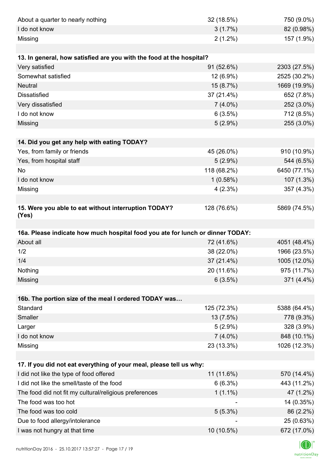| About a quarter to nearly nothing                                              | 32 (18.5%)  | 750 (9.0%)                |
|--------------------------------------------------------------------------------|-------------|---------------------------|
| I do not know                                                                  | 3(1.7%)     | 82 (0.98%)                |
| Missing                                                                        | $2(1.2\%)$  | 157 (1.9%)                |
|                                                                                |             |                           |
| 13. In general, how satisfied are you with the food at the hospital?           |             |                           |
| Very satisfied                                                                 | 91 (52.6%)  | 2303 (27.5%)              |
| Somewhat satisfied                                                             | 12 (6.9%)   | 2525 (30.2%)              |
| <b>Neutral</b>                                                                 | 15 (8.7%)   | 1669 (19.9%)              |
| <b>Dissatisfied</b>                                                            | 37 (21.4%)  | 652 (7.8%)                |
| Very dissatisfied                                                              | $7(4.0\%)$  | 252 (3.0%)                |
| I do not know                                                                  | 6(3.5%)     | 712 (8.5%)                |
| Missing                                                                        | $5(2.9\%)$  | 255 (3.0%)                |
|                                                                                |             |                           |
| 14. Did you get any help with eating TODAY?                                    |             |                           |
| Yes, from family or friends                                                    | 45 (26.0%)  | 910 (10.9%)               |
| Yes, from hospital staff                                                       | $5(2.9\%)$  | 544 (6.5%)                |
| No                                                                             | 118 (68.2%) | 6450 (77.1%)              |
| I do not know                                                                  | 1(0.58%)    | 107 (1.3%)                |
| Missing                                                                        | 4(2.3%)     | 357 (4.3%)                |
|                                                                                |             |                           |
| 15. Were you able to eat without interruption TODAY?<br>(Yes)                  | 128 (76.6%) | 5869 (74.5%)              |
|                                                                                |             |                           |
| 16a. Please indicate how much hospital food you ate for lunch or dinner TODAY: |             |                           |
| About all                                                                      | 72 (41.6%)  | 4051 (48.4%)              |
| 1/2                                                                            | 38 (22.0%)  | 1966 (23.5%)              |
| 1/4                                                                            | 37 (21.4%)  | 1005 (12.0%)              |
| Nothing                                                                        | 20 (11.6%)  | 975 (11.7%)               |
| Missing                                                                        | 6(3.5%)     | 371 (4.4%)                |
|                                                                                |             |                           |
| 16b. The portion size of the meal I ordered TODAY was                          |             |                           |
| Standard                                                                       | 125 (72.3%) | 5388 (64.4%)              |
| Smaller                                                                        | 13 (7.5%)   | 778 (9.3%)                |
| Larger                                                                         | $5(2.9\%)$  | 328 (3.9%)                |
| I do not know                                                                  | $7(4.0\%)$  | 848 (10.1%)               |
| Missing                                                                        | 23 (13.3%)  | 1026 (12.3%)              |
|                                                                                |             |                           |
|                                                                                |             |                           |
| 17. If you did not eat everything of your meal, please tell us why:            |             |                           |
| I did not like the type of food offered                                        | 11 (11.6%)  | 570 (14.4%)               |
| I did not like the smell/taste of the food                                     | 6(6.3%)     | 443 (11.2%)               |
| The food did not fit my cultural/religious preferences                         | $1(1.1\%)$  | 47 (1.2%)                 |
| The food was too hot                                                           |             | 14 (0.35%)                |
| The food was too cold                                                          | $5(5.3\%)$  | 86 (2.2%)                 |
| Due to food allergy/intolerance<br>I was not hungry at that time               | 10 (10.5%)  | 25 (0.63%)<br>672 (17.0%) |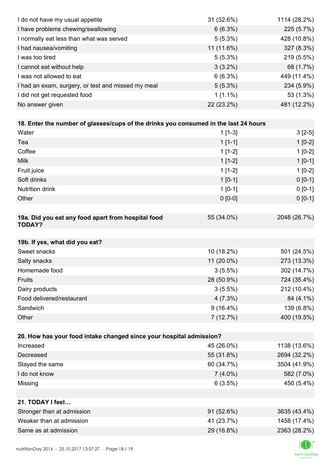| I do not have my usual appetite                                                      | 31 (32.6%)  | 1114 (28.2%) |
|--------------------------------------------------------------------------------------|-------------|--------------|
| I have problems chewing/swallowing                                                   | 6(6.3%)     | 225 (5.7%)   |
| I normally eat less than what was served                                             | $5(5.3\%)$  | 428 (10.8%)  |
| I had nausea/vomiting                                                                | 11 (11.6%)  | 327 (8.3%)   |
| I was too tired                                                                      | $5(5.3\%)$  | 219 (5.5%)   |
| I cannot eat without help                                                            | $3(3.2\%)$  | 68 (1.7%)    |
| I was not allowed to eat                                                             | 6(6.3%)     | 449 (11.4%)  |
| I had an exam, surgery, or test and missed my meal                                   | $5(5.3\%)$  | 234 (5.9%)   |
| I did not get requested food                                                         | $1(1.1\%)$  | 53 (1.3%)    |
| No answer given                                                                      | 22 (23.2%)  | 481 (12.2%)  |
|                                                                                      |             |              |
| 18. Enter the number of glasses/cups of the drinks you consumed in the last 24 hours |             |              |
| Water                                                                                | $1[1-3]$    | $3[2-5]$     |
| Tea                                                                                  | $1[1-1]$    | $1[0-2]$     |
| Coffee                                                                               | $1[1-2]$    | $1[0-2]$     |
| <b>Milk</b>                                                                          | $1[1-2]$    | $1[0-1]$     |
| Fruit juice                                                                          | $1[1-2]$    | $1[0-2]$     |
| Soft drinks                                                                          | $1[0-1]$    | $0[0-1]$     |
| <b>Nutrition drink</b>                                                               | $1[0-1]$    | $0 [0-1]$    |
| Other                                                                                | $0 [0-0]$   | $0 [0-1]$    |
|                                                                                      |             |              |
| 19a. Did you eat any food apart from hospital food                                   | 55 (34.0%)  | 2048 (26.7%) |
| <b>TODAY?</b>                                                                        |             |              |
| 19b. If yes, what did you eat?                                                       |             |              |
| Sweet snacks                                                                         | 10 (18.2%)  | 501 (24.5%)  |
| Salty snacks                                                                         | 11 (20.0%)  | 273 (13.3%)  |
| Homemade food                                                                        | $3(5.5\%)$  | 302 (14.7%)  |
| Fruits                                                                               | 28 (50.9%)  | 724 (35.4%)  |
| Dairy products                                                                       | $3(5.5\%)$  | 212 (10.4%)  |
| Food delivered/restaurant                                                            | 4(7.3%)     | 84 (4.1%)    |
| Sandwich                                                                             | $9(16.4\%)$ | 139 (6.8%)   |
| Other                                                                                | 7(12.7%)    | 400 (19.5%)  |
|                                                                                      |             |              |
| 20. How has your food intake changed since your hospital admission?                  |             |              |
| Increased                                                                            | 45 (26.0%)  | 1138 (13.6%) |
| Decreased                                                                            | 55 (31.8%)  | 2694 (32.2%) |
| Stayed the same                                                                      | 60 (34.7%)  | 3504 (41.9%) |
| I do not know                                                                        | $7(4.0\%)$  | 582 (7.0%)   |
| Missing                                                                              | 6(3.5%)     | 450 (5.4%)   |
|                                                                                      |             |              |
| 21. TODAY I feel                                                                     |             |              |
| Stronger than at admission                                                           | 91 (52.6%)  | 3635 (43.4%) |
| Weaker than at admission                                                             | 41 (23.7%)  | 1458 (17.4%) |
| Same as at admission                                                                 | 29 (16.8%)  | 2363 (28.2%) |
|                                                                                      |             |              |